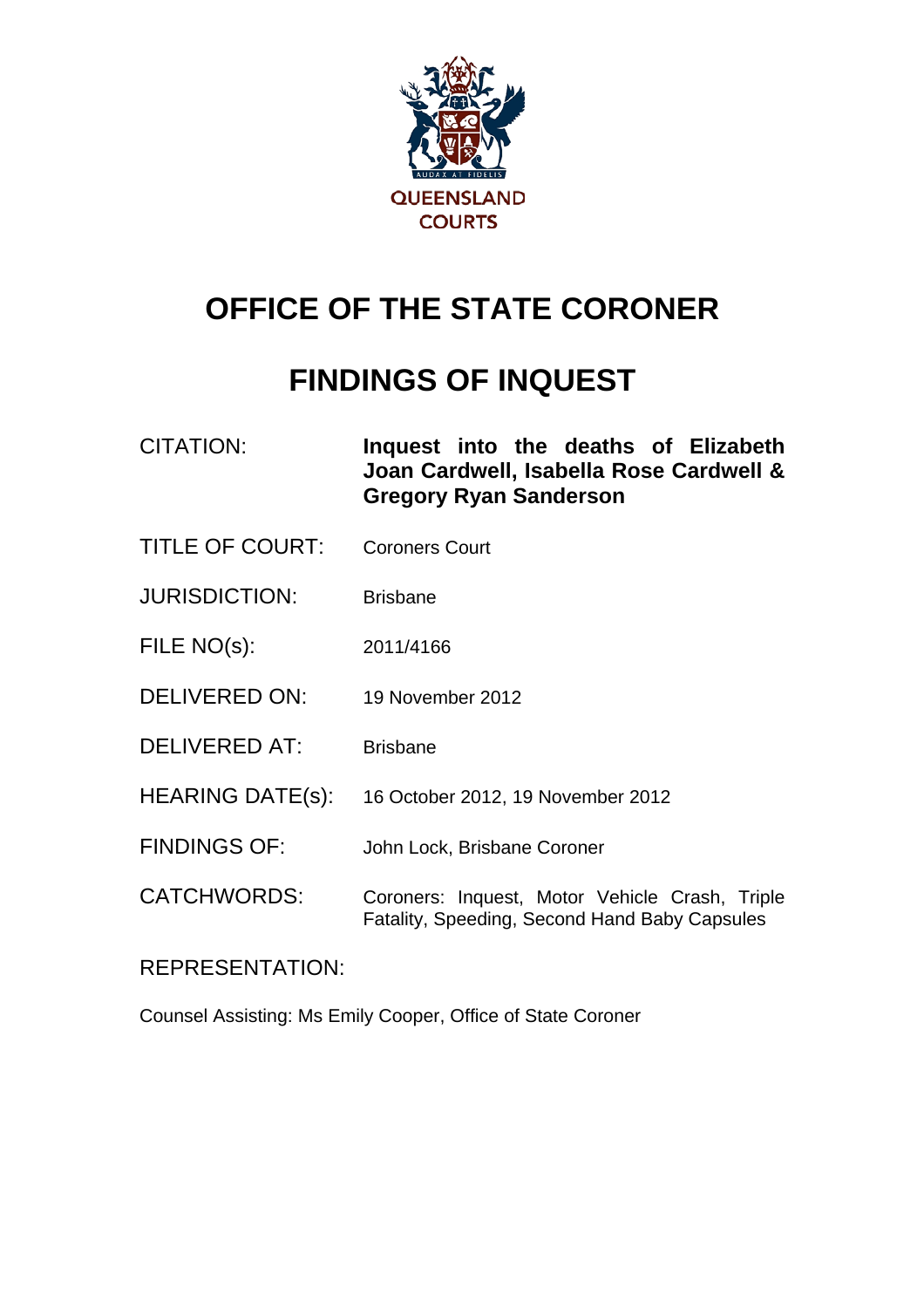

# **OFFICE OF THE STATE CORONER**

## **FINDINGS OF INQUEST**

| CITATION: | Inquest into the deaths of Elizabeth    |
|-----------|-----------------------------------------|
|           | Joan Cardwell, Isabella Rose Cardwell & |
|           | <b>Gregory Ryan Sanderson</b>           |

- TITLE OF COURT: Coroners Court
- JURISDICTION: Brisbane
- FILE NO(s): 2011/4166
- DELIVERED ON: 19 November 2012
- DELIVERED AT: Brisbane
- HEARING DATE(s): 16 October 2012, 19 November 2012
- FINDINGS OF: John Lock, Brisbane Coroner
- CATCHWORDS: Coroners: Inquest, Motor Vehicle Crash, Triple Fatality, Speeding, Second Hand Baby Capsules

## REPRESENTATION:

Counsel Assisting: Ms Emily Cooper, Office of State Coroner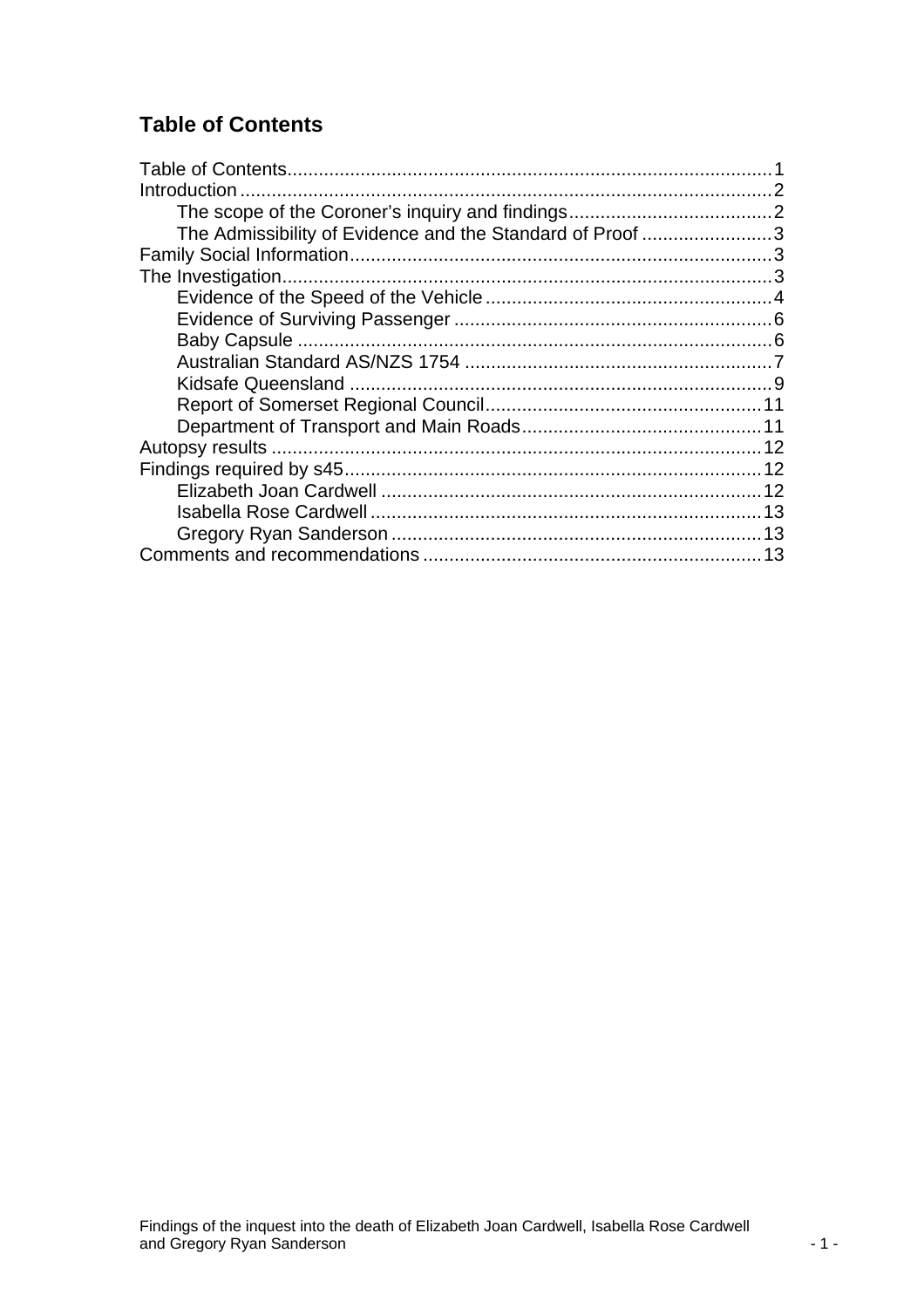## <span id="page-1-0"></span>**Table of Contents**

| Introduction                                              |  |
|-----------------------------------------------------------|--|
|                                                           |  |
| The Admissibility of Evidence and the Standard of Proof 3 |  |
|                                                           |  |
|                                                           |  |
|                                                           |  |
|                                                           |  |
|                                                           |  |
|                                                           |  |
|                                                           |  |
|                                                           |  |
|                                                           |  |
|                                                           |  |
|                                                           |  |
|                                                           |  |
|                                                           |  |
|                                                           |  |
|                                                           |  |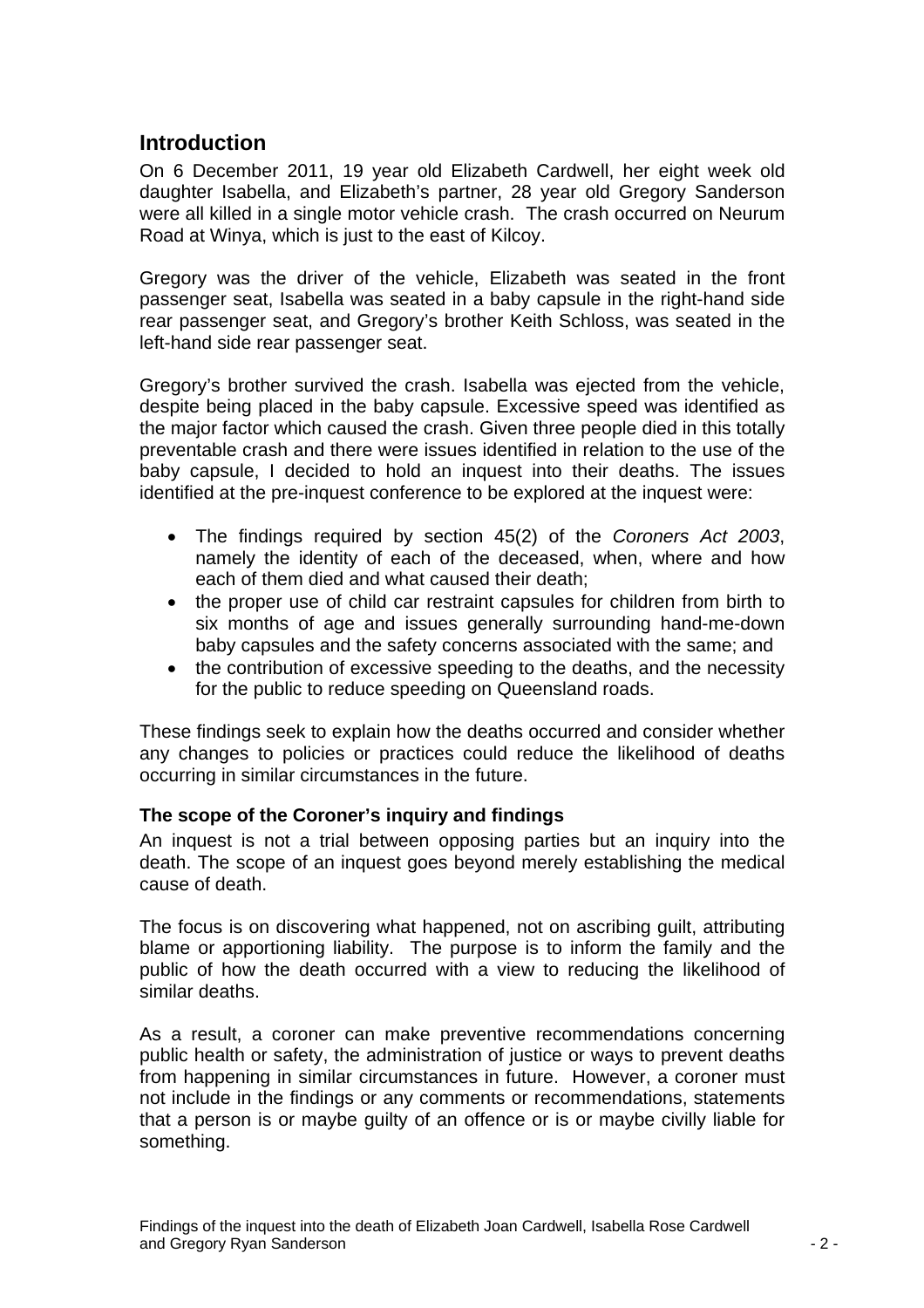## <span id="page-2-0"></span>**Introduction**

On 6 December 2011, 19 year old Elizabeth Cardwell, her eight week old daughter Isabella, and Elizabeth's partner, 28 year old Gregory Sanderson were all killed in a single motor vehicle crash. The crash occurred on Neurum Road at Winya, which is just to the east of Kilcoy.

Gregory was the driver of the vehicle, Elizabeth was seated in the front passenger seat, Isabella was seated in a baby capsule in the right-hand side rear passenger seat, and Gregory's brother Keith Schloss, was seated in the left-hand side rear passenger seat.

Gregory's brother survived the crash. Isabella was ejected from the vehicle, despite being placed in the baby capsule. Excessive speed was identified as the major factor which caused the crash. Given three people died in this totally preventable crash and there were issues identified in relation to the use of the baby capsule, I decided to hold an inquest into their deaths. The issues identified at the pre-inquest conference to be explored at the inquest were:

- The findings required by section 45(2) of the *Coroners Act 2003*, namely the identity of each of the deceased, when, where and how each of them died and what caused their death;
- the proper use of child car restraint capsules for children from birth to six months of age and issues generally surrounding hand-me-down baby capsules and the safety concerns associated with the same; and
- the contribution of excessive speeding to the deaths, and the necessity for the public to reduce speeding on Queensland roads.

These findings seek to explain how the deaths occurred and consider whether any changes to policies or practices could reduce the likelihood of deaths occurring in similar circumstances in the future.

#### **The scope of the Coroner's inquiry and findings**

An inquest is not a trial between opposing parties but an inquiry into the death. The scope of an inquest goes beyond merely establishing the medical cause of death.

The focus is on discovering what happened, not on ascribing guilt, attributing blame or apportioning liability. The purpose is to inform the family and the public of how the death occurred with a view to reducing the likelihood of similar deaths.

As a result, a coroner can make preventive recommendations concerning public health or safety, the administration of justice or ways to prevent deaths from happening in similar circumstances in future. However, a coroner must not include in the findings or any comments or recommendations, statements that a person is or maybe guilty of an offence or is or maybe civilly liable for something.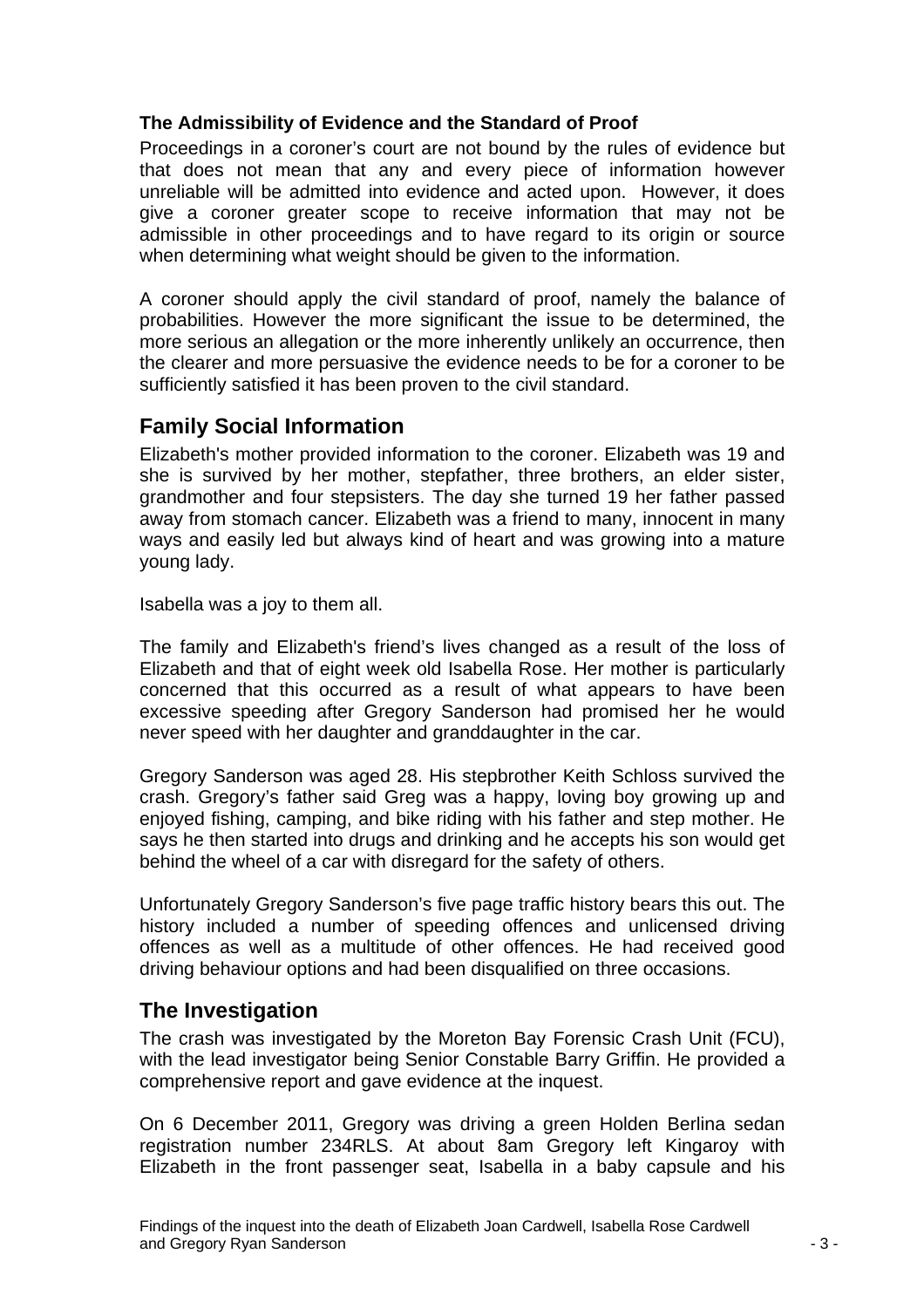#### <span id="page-3-0"></span>**The Admissibility of Evidence and the Standard of Proof**

Proceedings in a coroner's court are not bound by the rules of evidence but that does not mean that any and every piece of information however unreliable will be admitted into evidence and acted upon. However, it does give a coroner greater scope to receive information that may not be admissible in other proceedings and to have regard to its origin or source when determining what weight should be given to the information.

A coroner should apply the civil standard of proof, namely the balance of probabilities. However the more significant the issue to be determined, the more serious an allegation or the more inherently unlikely an occurrence, then the clearer and more persuasive the evidence needs to be for a coroner to be sufficiently satisfied it has been proven to the civil standard.

## **Family Social Information**

Elizabeth's mother provided information to the coroner. Elizabeth was 19 and she is survived by her mother, stepfather, three brothers, an elder sister, grandmother and four stepsisters. The day she turned 19 her father passed away from stomach cancer. Elizabeth was a friend to many, innocent in many ways and easily led but always kind of heart and was growing into a mature young lady.

Isabella was a joy to them all.

The family and Elizabeth's friend's lives changed as a result of the loss of Elizabeth and that of eight week old Isabella Rose. Her mother is particularly concerned that this occurred as a result of what appears to have been excessive speeding after Gregory Sanderson had promised her he would never speed with her daughter and granddaughter in the car.

Gregory Sanderson was aged 28. His stepbrother Keith Schloss survived the crash. Gregory's father said Greg was a happy, loving boy growing up and enjoyed fishing, camping, and bike riding with his father and step mother. He says he then started into drugs and drinking and he accepts his son would get behind the wheel of a car with disregard for the safety of others.

Unfortunately Gregory Sanderson's five page traffic history bears this out. The history included a number of speeding offences and unlicensed driving offences as well as a multitude of other offences. He had received good driving behaviour options and had been disqualified on three occasions.

## **The Investigation**

The crash was investigated by the Moreton Bay Forensic Crash Unit (FCU), with the lead investigator being Senior Constable Barry Griffin. He provided a comprehensive report and gave evidence at the inquest.

On 6 December 2011, Gregory was driving a green Holden Berlina sedan registration number 234RLS. At about 8am Gregory left Kingaroy with Elizabeth in the front passenger seat, Isabella in a baby capsule and his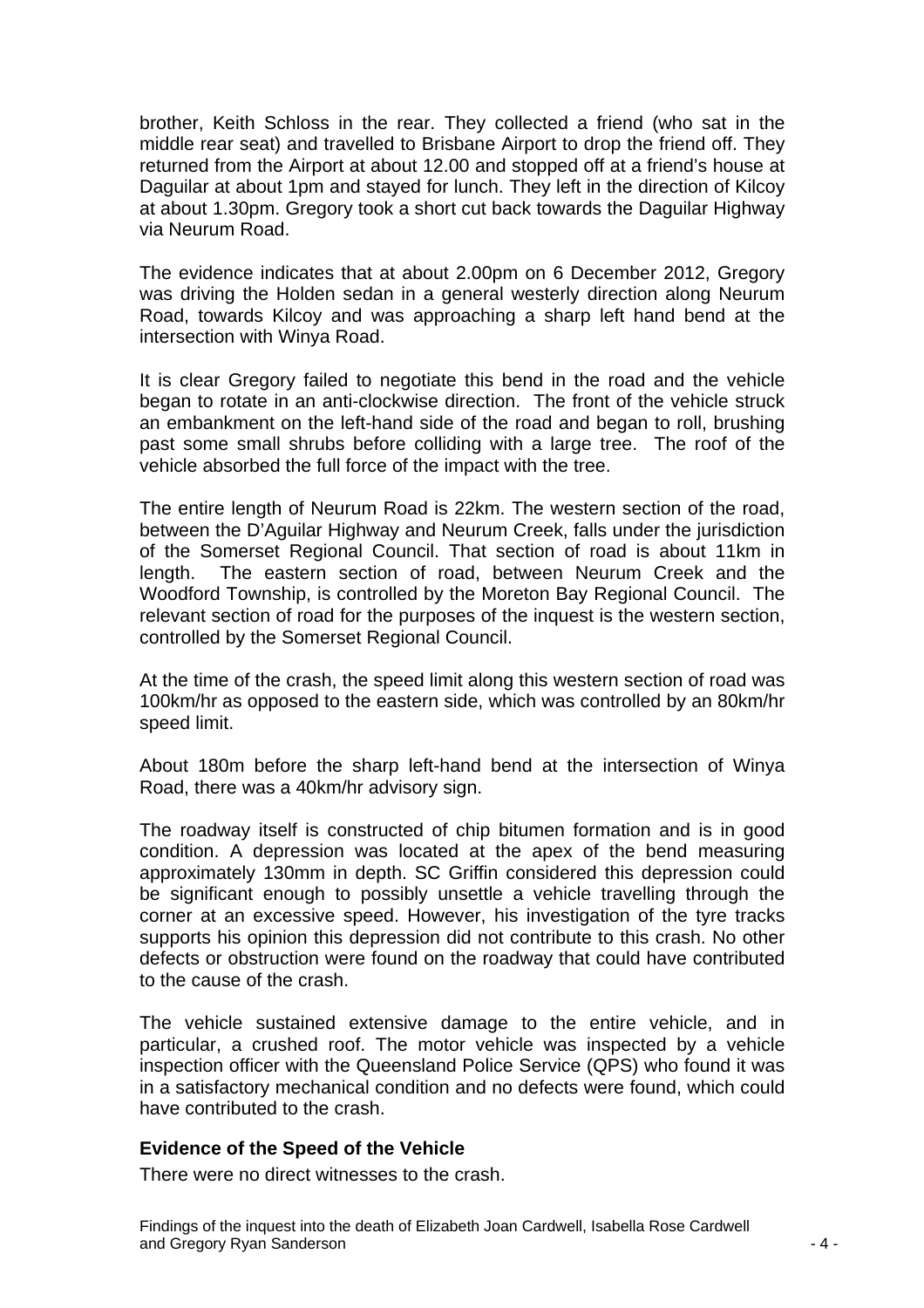<span id="page-4-0"></span>brother, Keith Schloss in the rear. They collected a friend (who sat in the middle rear seat) and travelled to Brisbane Airport to drop the friend off. They returned from the Airport at about 12.00 and stopped off at a friend's house at Daguilar at about 1pm and stayed for lunch. They left in the direction of Kilcoy at about 1.30pm. Gregory took a short cut back towards the Daguilar Highway via Neurum Road.

The evidence indicates that at about 2.00pm on 6 December 2012, Gregory was driving the Holden sedan in a general westerly direction along Neurum Road, towards Kilcoy and was approaching a sharp left hand bend at the intersection with Winya Road.

It is clear Gregory failed to negotiate this bend in the road and the vehicle began to rotate in an anti-clockwise direction. The front of the vehicle struck an embankment on the left-hand side of the road and began to roll, brushing past some small shrubs before colliding with a large tree. The roof of the vehicle absorbed the full force of the impact with the tree.

The entire length of Neurum Road is 22km. The western section of the road, between the D'Aguilar Highway and Neurum Creek, falls under the jurisdiction of the Somerset Regional Council. That section of road is about 11km in length. The eastern section of road, between Neurum Creek and the Woodford Township, is controlled by the Moreton Bay Regional Council. The relevant section of road for the purposes of the inquest is the western section, controlled by the Somerset Regional Council.

At the time of the crash, the speed limit along this western section of road was 100km/hr as opposed to the eastern side, which was controlled by an 80km/hr speed limit.

About 180m before the sharp left-hand bend at the intersection of Winya Road, there was a 40km/hr advisory sign.

The roadway itself is constructed of chip bitumen formation and is in good condition. A depression was located at the apex of the bend measuring approximately 130mm in depth. SC Griffin considered this depression could be significant enough to possibly unsettle a vehicle travelling through the corner at an excessive speed. However, his investigation of the tyre tracks supports his opinion this depression did not contribute to this crash. No other defects or obstruction were found on the roadway that could have contributed to the cause of the crash.

The vehicle sustained extensive damage to the entire vehicle, and in particular, a crushed roof. The motor vehicle was inspected by a vehicle inspection officer with the Queensland Police Service (QPS) who found it was in a satisfactory mechanical condition and no defects were found, which could have contributed to the crash.

#### **Evidence of the Speed of the Vehicle**

There were no direct witnesses to the crash.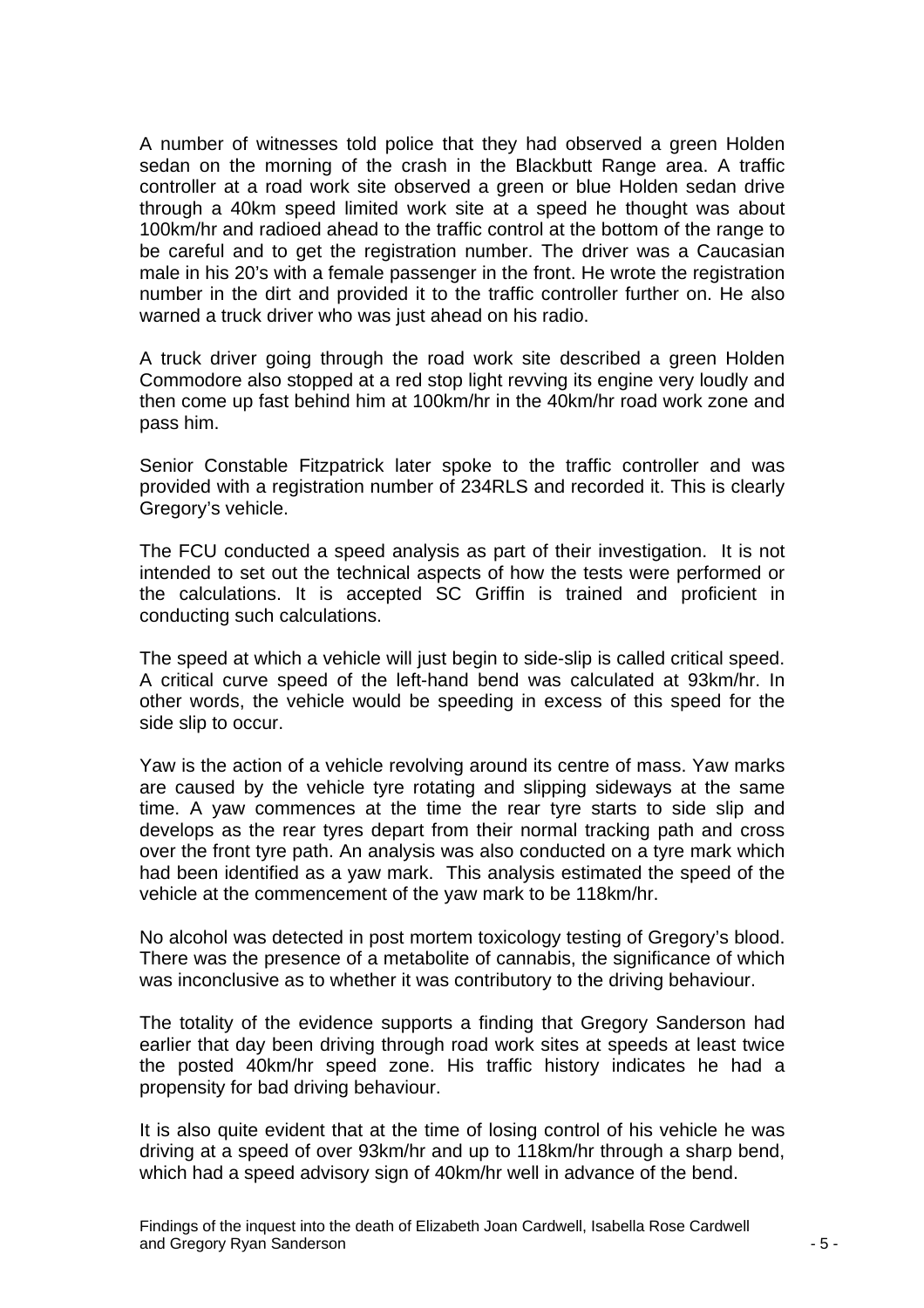A number of witnesses told police that they had observed a green Holden sedan on the morning of the crash in the Blackbutt Range area. A traffic controller at a road work site observed a green or blue Holden sedan drive through a 40km speed limited work site at a speed he thought was about 100km/hr and radioed ahead to the traffic control at the bottom of the range to be careful and to get the registration number. The driver was a Caucasian male in his 20's with a female passenger in the front. He wrote the registration number in the dirt and provided it to the traffic controller further on. He also warned a truck driver who was just ahead on his radio.

A truck driver going through the road work site described a green Holden Commodore also stopped at a red stop light revving its engine very loudly and then come up fast behind him at 100km/hr in the 40km/hr road work zone and pass him.

Senior Constable Fitzpatrick later spoke to the traffic controller and was provided with a registration number of 234RLS and recorded it. This is clearly Gregory's vehicle.

The FCU conducted a speed analysis as part of their investigation. It is not intended to set out the technical aspects of how the tests were performed or the calculations. It is accepted SC Griffin is trained and proficient in conducting such calculations.

The speed at which a vehicle will just begin to side-slip is called critical speed. A critical curve speed of the left-hand bend was calculated at 93km/hr. In other words, the vehicle would be speeding in excess of this speed for the side slip to occur.

Yaw is the action of a vehicle revolving around its centre of mass. Yaw marks are caused by the vehicle tyre rotating and slipping sideways at the same time. A yaw commences at the time the rear tyre starts to side slip and develops as the rear tyres depart from their normal tracking path and cross over the front tyre path. An analysis was also conducted on a tyre mark which had been identified as a yaw mark. This analysis estimated the speed of the vehicle at the commencement of the yaw mark to be 118km/hr.

No alcohol was detected in post mortem toxicology testing of Gregory's blood. There was the presence of a metabolite of cannabis, the significance of which was inconclusive as to whether it was contributory to the driving behaviour.

The totality of the evidence supports a finding that Gregory Sanderson had earlier that day been driving through road work sites at speeds at least twice the posted 40km/hr speed zone. His traffic history indicates he had a propensity for bad driving behaviour.

It is also quite evident that at the time of losing control of his vehicle he was driving at a speed of over 93km/hr and up to 118km/hr through a sharp bend, which had a speed advisory sign of 40km/hr well in advance of the bend.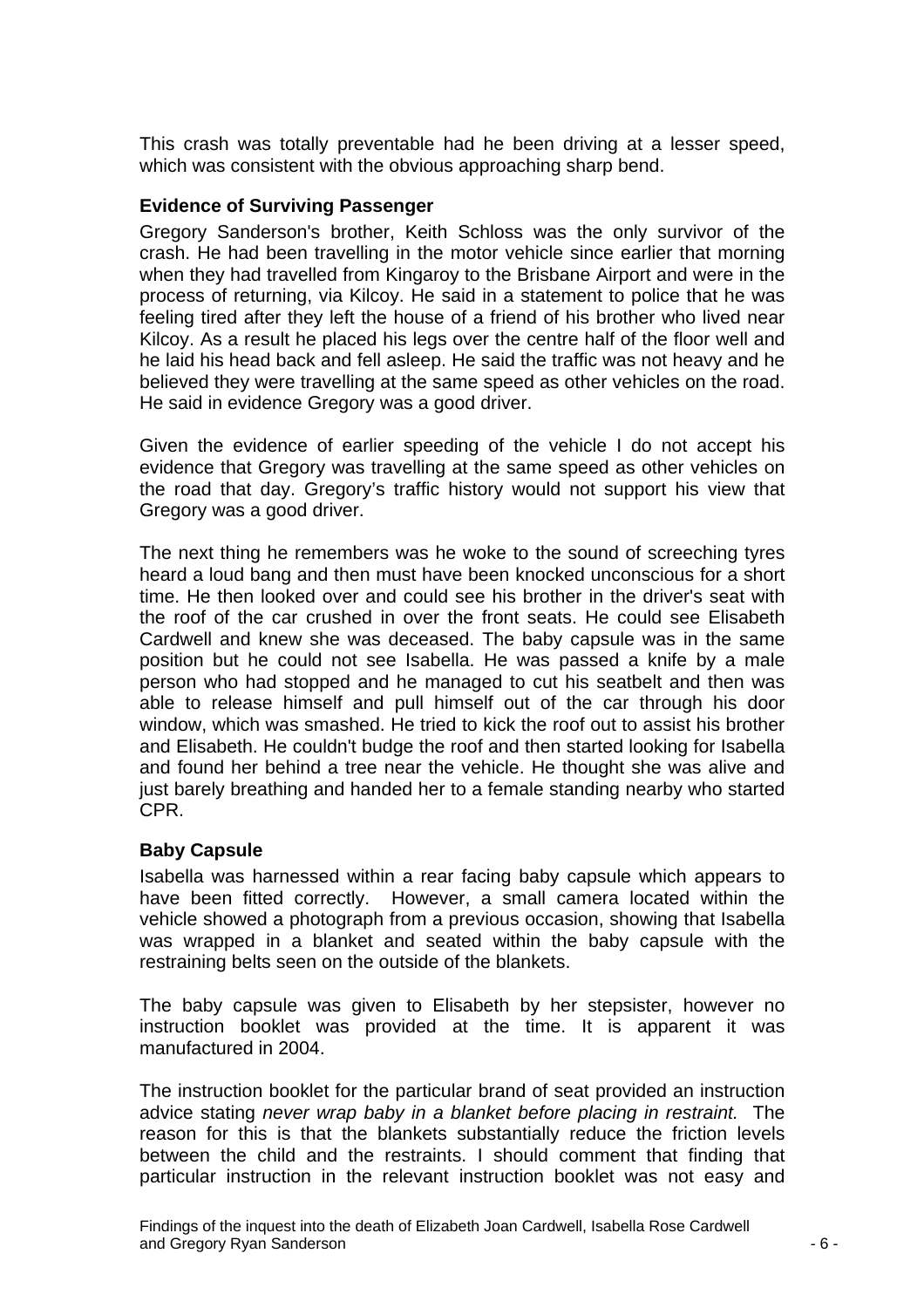<span id="page-6-0"></span>This crash was totally preventable had he been driving at a lesser speed, which was consistent with the obvious approaching sharp bend.

#### **Evidence of Surviving Passenger**

Gregory Sanderson's brother, Keith Schloss was the only survivor of the crash. He had been travelling in the motor vehicle since earlier that morning when they had travelled from Kingaroy to the Brisbane Airport and were in the process of returning, via Kilcoy. He said in a statement to police that he was feeling tired after they left the house of a friend of his brother who lived near Kilcoy. As a result he placed his legs over the centre half of the floor well and he laid his head back and fell asleep. He said the traffic was not heavy and he believed they were travelling at the same speed as other vehicles on the road. He said in evidence Gregory was a good driver.

Given the evidence of earlier speeding of the vehicle I do not accept his evidence that Gregory was travelling at the same speed as other vehicles on the road that day. Gregory's traffic history would not support his view that Gregory was a good driver.

The next thing he remembers was he woke to the sound of screeching tyres heard a loud bang and then must have been knocked unconscious for a short time. He then looked over and could see his brother in the driver's seat with the roof of the car crushed in over the front seats. He could see Elisabeth Cardwell and knew she was deceased. The baby capsule was in the same position but he could not see Isabella. He was passed a knife by a male person who had stopped and he managed to cut his seatbelt and then was able to release himself and pull himself out of the car through his door window, which was smashed. He tried to kick the roof out to assist his brother and Elisabeth. He couldn't budge the roof and then started looking for Isabella and found her behind a tree near the vehicle. He thought she was alive and just barely breathing and handed her to a female standing nearby who started CPR.

#### **Baby Capsule**

Isabella was harnessed within a rear facing baby capsule which appears to have been fitted correctly. However, a small camera located within the vehicle showed a photograph from a previous occasion, showing that Isabella was wrapped in a blanket and seated within the baby capsule with the restraining belts seen on the outside of the blankets.

The baby capsule was given to Elisabeth by her stepsister, however no instruction booklet was provided at the time. It is apparent it was manufactured in 2004.

The instruction booklet for the particular brand of seat provided an instruction advice stating *never wrap baby in a blanket before placing in restraint.* The reason for this is that the blankets substantially reduce the friction levels between the child and the restraints. I should comment that finding that particular instruction in the relevant instruction booklet was not easy and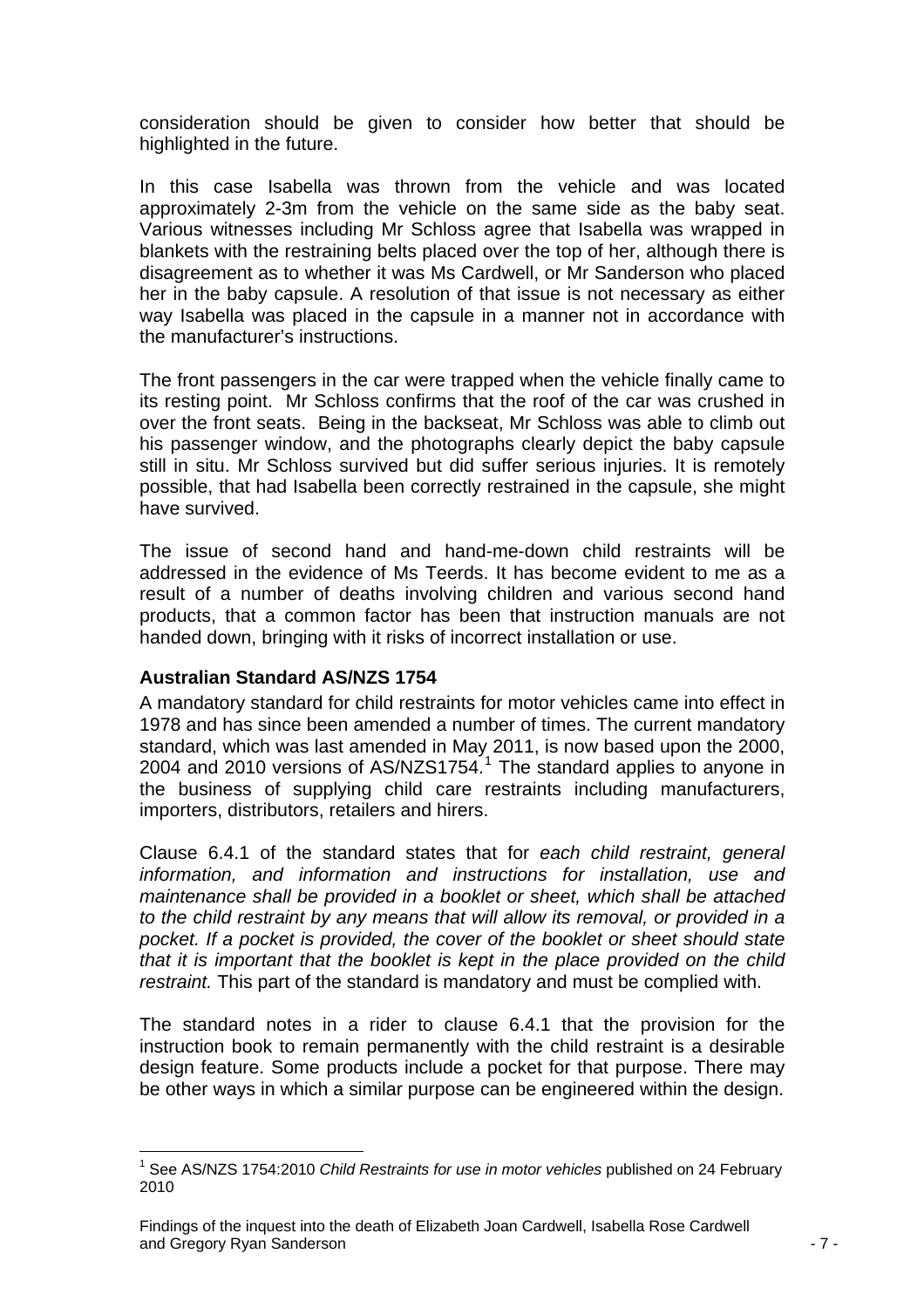<span id="page-7-0"></span>consideration should be given to consider how better that should be highlighted in the future.

In this case Isabella was thrown from the vehicle and was located approximately 2-3m from the vehicle on the same side as the baby seat. Various witnesses including Mr Schloss agree that Isabella was wrapped in blankets with the restraining belts placed over the top of her, although there is disagreement as to whether it was Ms Cardwell, or Mr Sanderson who placed her in the baby capsule. A resolution of that issue is not necessary as either way Isabella was placed in the capsule in a manner not in accordance with the manufacturer's instructions.

The front passengers in the car were trapped when the vehicle finally came to its resting point. Mr Schloss confirms that the roof of the car was crushed in over the front seats. Being in the backseat, Mr Schloss was able to climb out his passenger window, and the photographs clearly depict the baby capsule still in situ. Mr Schloss survived but did suffer serious injuries. It is remotely possible, that had Isabella been correctly restrained in the capsule, she might have survived.

The issue of second hand and hand-me-down child restraints will be addressed in the evidence of Ms Teerds. It has become evident to me as a result of a number of deaths involving children and various second hand products, that a common factor has been that instruction manuals are not handed down, bringing with it risks of incorrect installation or use.

#### **Australian Standard AS/NZS 1754**

A mandatory standard for child restraints for motor vehicles came into effect in 1978 and has since been amended a number of times. The current mandatory standard, which was last amended in May 2011, is now based upon the 2000, 2004 and 20[1](#page-7-1)0 versions of AS/NZS1754.<sup>1</sup> The standard applies to anyone in the business of supplying child care restraints including manufacturers, importers, distributors, retailers and hirers.

Clause 6.4.1 of the standard states that for *each child restraint, general information, and information and instructions for installation, use and maintenance shall be provided in a booklet or sheet, which shall be attached to the child restraint by any means that will allow its removal, or provided in a pocket. If a pocket is provided, the cover of the booklet or sheet should state that it is important that the booklet is kept in the place provided on the child restraint.* This part of the standard is mandatory and must be complied with.

The standard notes in a rider to clause 6.4.1 that the provision for the instruction book to remain permanently with the child restraint is a desirable design feature. Some products include a pocket for that purpose. There may be other ways in which a similar purpose can be engineered within the design.

<span id="page-7-1"></span>l <sup>1</sup> See AS/NZS 1754:2010 *Child Restraints for use in motor vehicles* published on 24 February 2010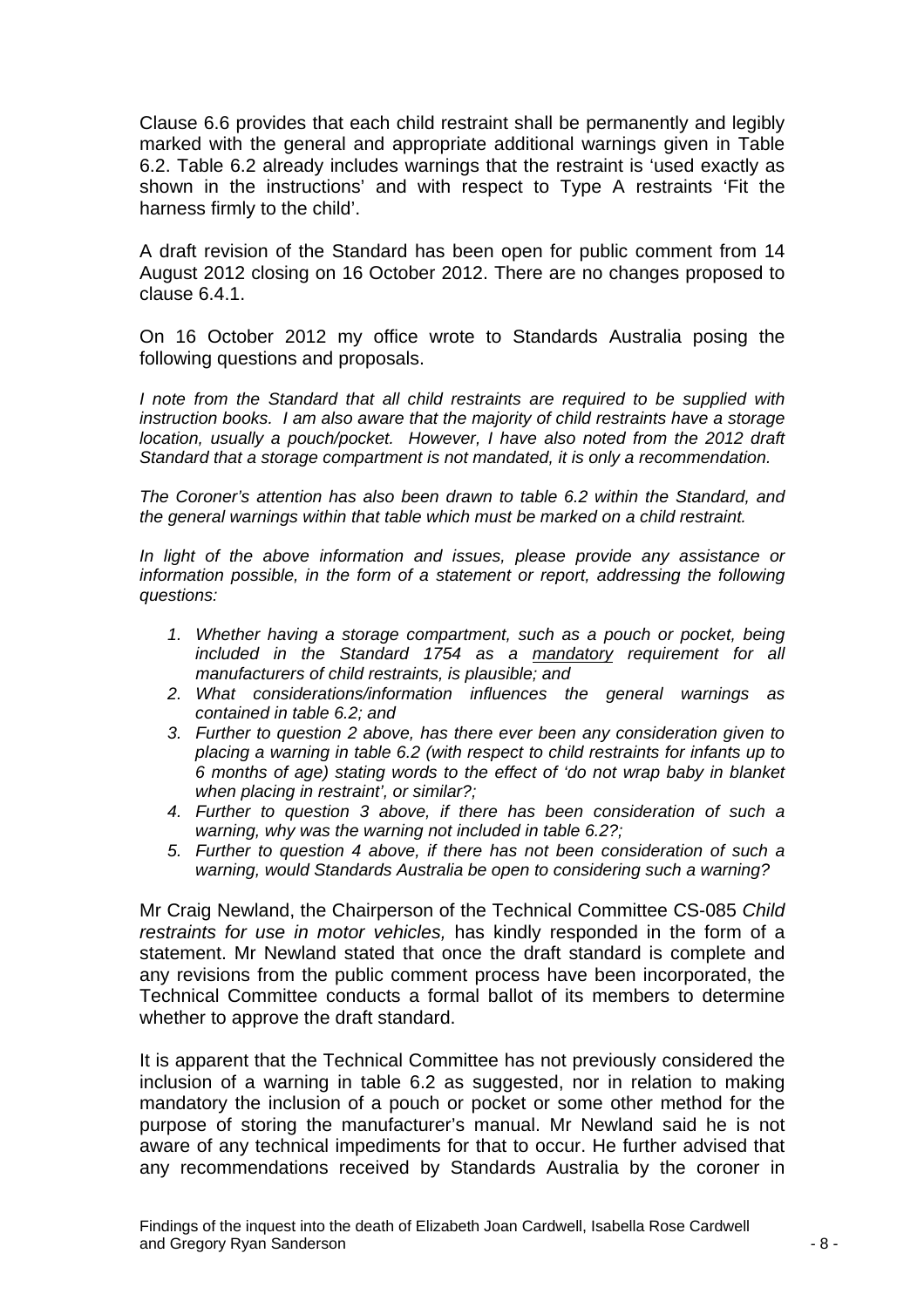Clause 6.6 provides that each child restraint shall be permanently and legibly marked with the general and appropriate additional warnings given in Table 6.2. Table 6.2 already includes warnings that the restraint is 'used exactly as shown in the instructions' and with respect to Type A restraints 'Fit the harness firmly to the child'.

A draft revision of the Standard has been open for public comment from 14 August 2012 closing on 16 October 2012. There are no changes proposed to clause 6.4.1.

On 16 October 2012 my office wrote to Standards Australia posing the following questions and proposals.

*I note from the Standard that all child restraints are required to be supplied with instruction books. I am also aware that the majority of child restraints have a storage location, usually a pouch/pocket. However, I have also noted from the 2012 draft Standard that a storage compartment is not mandated, it is only a recommendation.* 

*The Coroner's attention has also been drawn to table 6.2 within the Standard, and the general warnings within that table which must be marked on a child restraint.* 

*In light of the above information and issues, please provide any assistance or information possible, in the form of a statement or report, addressing the following questions:* 

- *1. Whether having a storage compartment, such as a pouch or pocket, being included in the Standard 1754 as a mandatory requirement for all manufacturers of child restraints, is plausible; and*
- *2. What considerations/information influences the general warnings as contained in table 6.2; and*
- *3. Further to question 2 above, has there ever been any consideration given to placing a warning in table 6.2 (with respect to child restraints for infants up to 6 months of age) stating words to the effect of 'do not wrap baby in blanket when placing in restraint', or similar?;*
- *4. Further to question 3 above, if there has been consideration of such a warning, why was the warning not included in table 6.2?;*
- *5. Further to question 4 above, if there has not been consideration of such a warning, would Standards Australia be open to considering such a warning?*

Mr Craig Newland, the Chairperson of the Technical Committee CS-085 *Child restraints for use in motor vehicles,* has kindly responded in the form of a statement. Mr Newland stated that once the draft standard is complete and any revisions from the public comment process have been incorporated, the Technical Committee conducts a formal ballot of its members to determine whether to approve the draft standard.

It is apparent that the Technical Committee has not previously considered the inclusion of a warning in table 6.2 as suggested, nor in relation to making mandatory the inclusion of a pouch or pocket or some other method for the purpose of storing the manufacturer's manual. Mr Newland said he is not aware of any technical impediments for that to occur. He further advised that any recommendations received by Standards Australia by the coroner in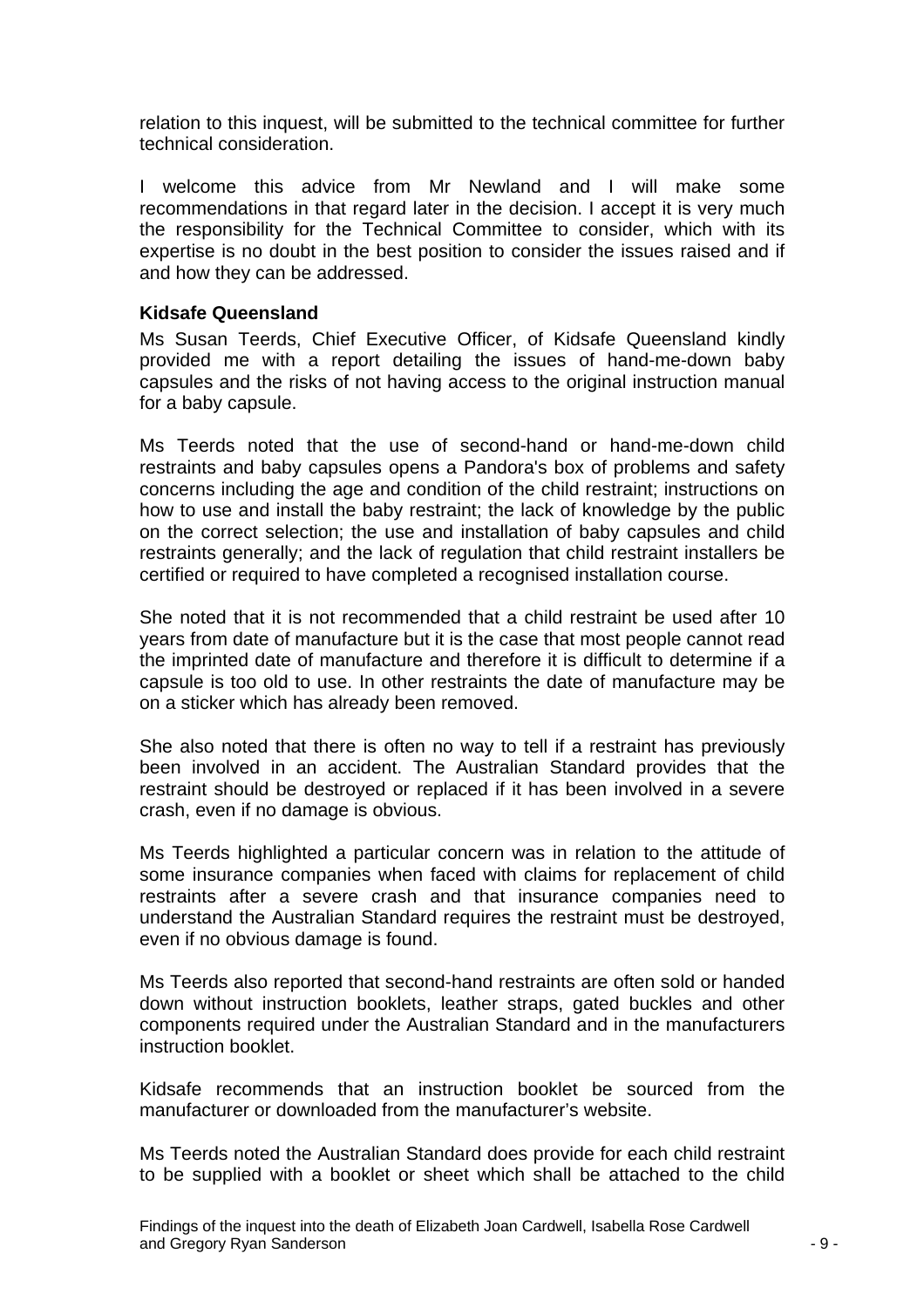<span id="page-9-0"></span>relation to this inquest, will be submitted to the technical committee for further technical consideration.

I welcome this advice from Mr Newland and I will make some recommendations in that regard later in the decision. I accept it is very much the responsibility for the Technical Committee to consider, which with its expertise is no doubt in the best position to consider the issues raised and if and how they can be addressed.

#### **Kidsafe Queensland**

Ms Susan Teerds, Chief Executive Officer, of Kidsafe Queensland kindly provided me with a report detailing the issues of hand-me-down baby capsules and the risks of not having access to the original instruction manual for a baby capsule.

Ms Teerds noted that the use of second-hand or hand-me-down child restraints and baby capsules opens a Pandora's box of problems and safety concerns including the age and condition of the child restraint; instructions on how to use and install the baby restraint; the lack of knowledge by the public on the correct selection; the use and installation of baby capsules and child restraints generally; and the lack of regulation that child restraint installers be certified or required to have completed a recognised installation course.

She noted that it is not recommended that a child restraint be used after 10 years from date of manufacture but it is the case that most people cannot read the imprinted date of manufacture and therefore it is difficult to determine if a capsule is too old to use. In other restraints the date of manufacture may be on a sticker which has already been removed.

She also noted that there is often no way to tell if a restraint has previously been involved in an accident. The Australian Standard provides that the restraint should be destroyed or replaced if it has been involved in a severe crash, even if no damage is obvious.

Ms Teerds highlighted a particular concern was in relation to the attitude of some insurance companies when faced with claims for replacement of child restraints after a severe crash and that insurance companies need to understand the Australian Standard requires the restraint must be destroyed, even if no obvious damage is found.

Ms Teerds also reported that second-hand restraints are often sold or handed down without instruction booklets, leather straps, gated buckles and other components required under the Australian Standard and in the manufacturers instruction booklet.

Kidsafe recommends that an instruction booklet be sourced from the manufacturer or downloaded from the manufacturer's website.

Ms Teerds noted the Australian Standard does provide for each child restraint to be supplied with a booklet or sheet which shall be attached to the child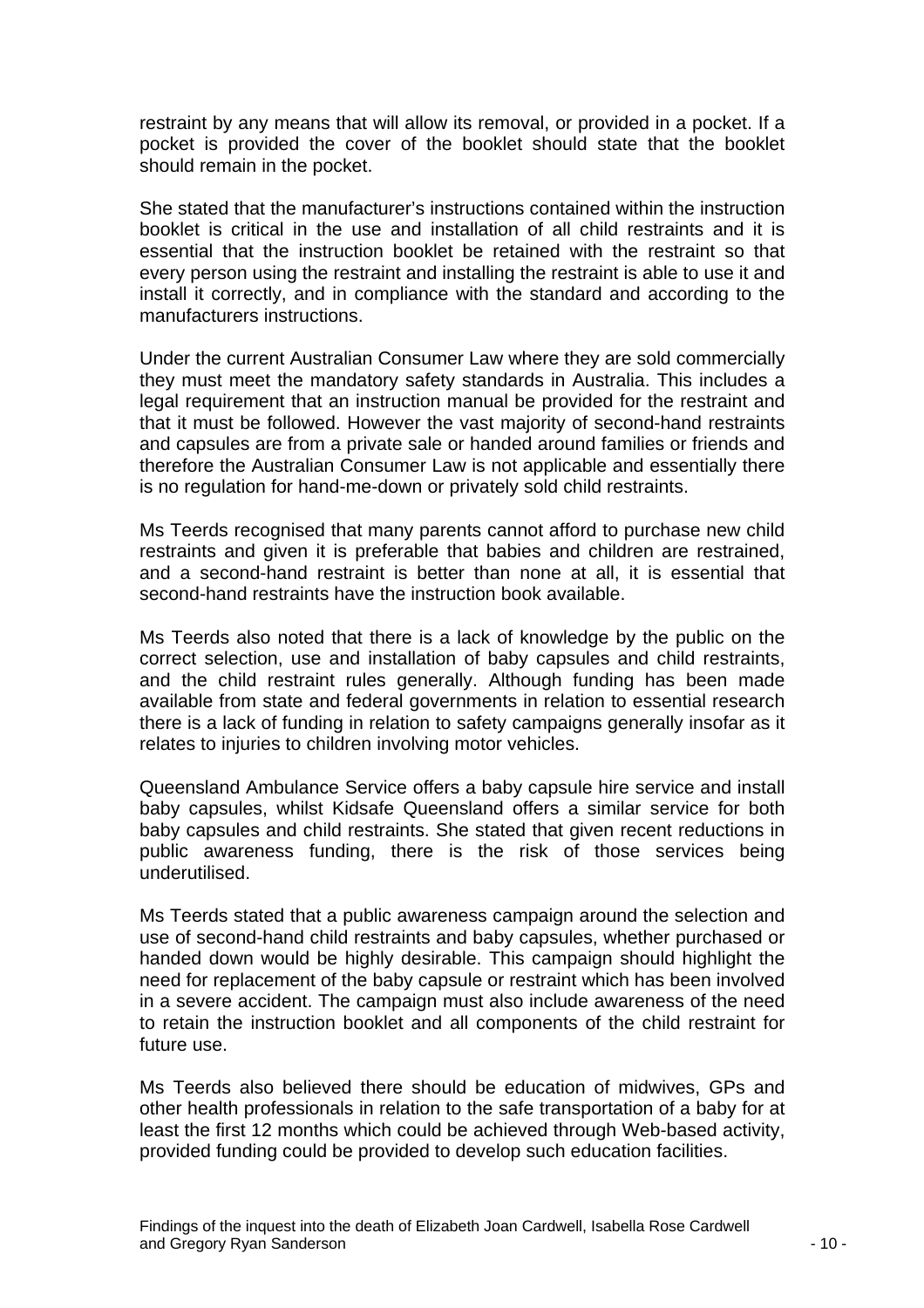restraint by any means that will allow its removal, or provided in a pocket. If a pocket is provided the cover of the booklet should state that the booklet should remain in the pocket.

She stated that the manufacturer's instructions contained within the instruction booklet is critical in the use and installation of all child restraints and it is essential that the instruction booklet be retained with the restraint so that every person using the restraint and installing the restraint is able to use it and install it correctly, and in compliance with the standard and according to the manufacturers instructions.

Under the current Australian Consumer Law where they are sold commercially they must meet the mandatory safety standards in Australia. This includes a legal requirement that an instruction manual be provided for the restraint and that it must be followed. However the vast majority of second-hand restraints and capsules are from a private sale or handed around families or friends and therefore the Australian Consumer Law is not applicable and essentially there is no regulation for hand-me-down or privately sold child restraints.

Ms Teerds recognised that many parents cannot afford to purchase new child restraints and given it is preferable that babies and children are restrained, and a second-hand restraint is better than none at all, it is essential that second-hand restraints have the instruction book available.

Ms Teerds also noted that there is a lack of knowledge by the public on the correct selection, use and installation of baby capsules and child restraints, and the child restraint rules generally. Although funding has been made available from state and federal governments in relation to essential research there is a lack of funding in relation to safety campaigns generally insofar as it relates to injuries to children involving motor vehicles.

Queensland Ambulance Service offers a baby capsule hire service and install baby capsules, whilst Kidsafe Queensland offers a similar service for both baby capsules and child restraints. She stated that given recent reductions in public awareness funding, there is the risk of those services being underutilised.

Ms Teerds stated that a public awareness campaign around the selection and use of second-hand child restraints and baby capsules, whether purchased or handed down would be highly desirable. This campaign should highlight the need for replacement of the baby capsule or restraint which has been involved in a severe accident. The campaign must also include awareness of the need to retain the instruction booklet and all components of the child restraint for future use.

Ms Teerds also believed there should be education of midwives, GPs and other health professionals in relation to the safe transportation of a baby for at least the first 12 months which could be achieved through Web-based activity, provided funding could be provided to develop such education facilities.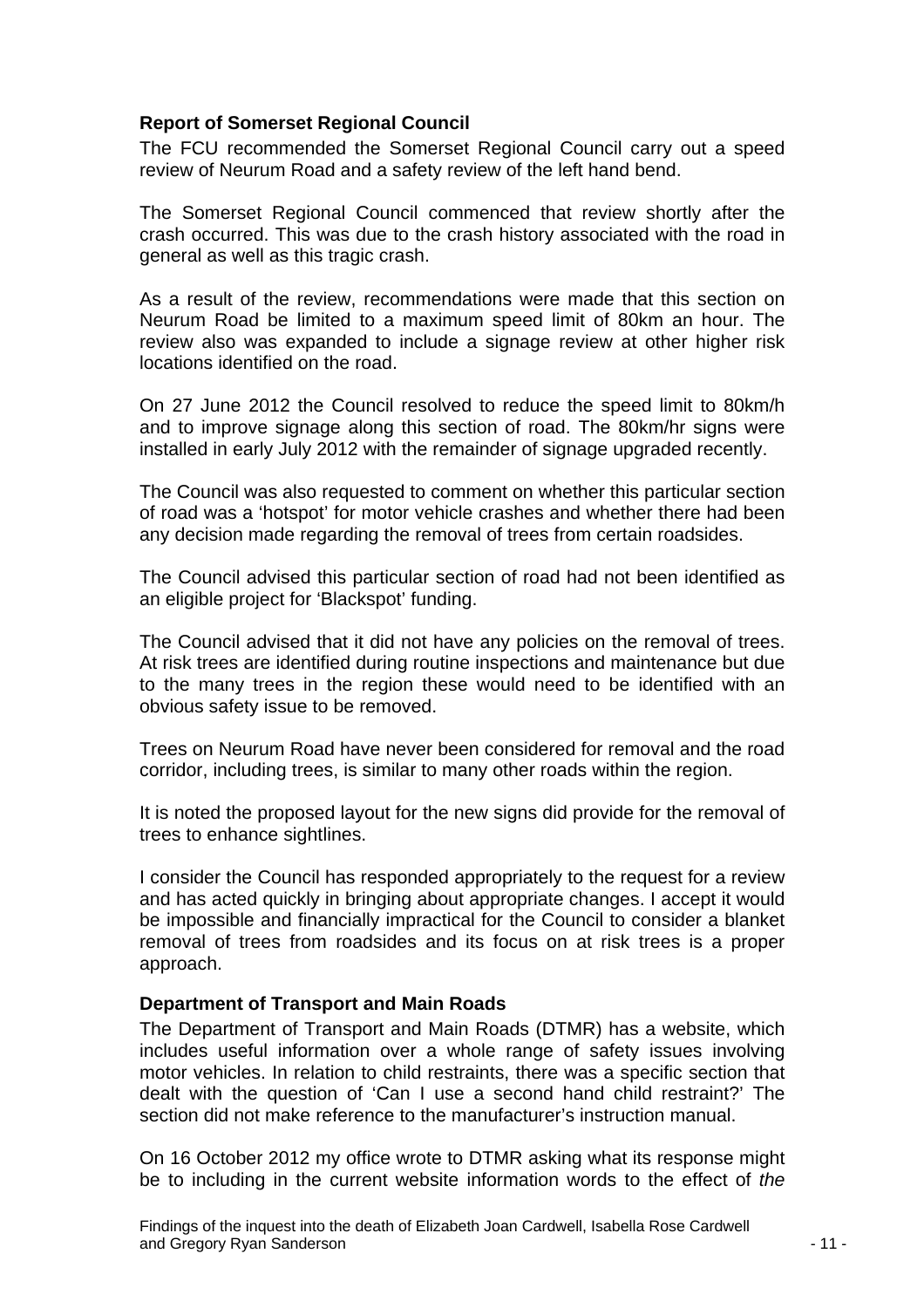#### <span id="page-11-0"></span>**Report of Somerset Regional Council**

The FCU recommended the Somerset Regional Council carry out a speed review of Neurum Road and a safety review of the left hand bend.

The Somerset Regional Council commenced that review shortly after the crash occurred. This was due to the crash history associated with the road in general as well as this tragic crash.

As a result of the review, recommendations were made that this section on Neurum Road be limited to a maximum speed limit of 80km an hour. The review also was expanded to include a signage review at other higher risk locations identified on the road.

On 27 June 2012 the Council resolved to reduce the speed limit to 80km/h and to improve signage along this section of road. The 80km/hr signs were installed in early July 2012 with the remainder of signage upgraded recently.

The Council was also requested to comment on whether this particular section of road was a 'hotspot' for motor vehicle crashes and whether there had been any decision made regarding the removal of trees from certain roadsides.

The Council advised this particular section of road had not been identified as an eligible project for 'Blackspot' funding.

The Council advised that it did not have any policies on the removal of trees. At risk trees are identified during routine inspections and maintenance but due to the many trees in the region these would need to be identified with an obvious safety issue to be removed.

Trees on Neurum Road have never been considered for removal and the road corridor, including trees, is similar to many other roads within the region.

It is noted the proposed layout for the new signs did provide for the removal of trees to enhance sightlines.

I consider the Council has responded appropriately to the request for a review and has acted quickly in bringing about appropriate changes. I accept it would be impossible and financially impractical for the Council to consider a blanket removal of trees from roadsides and its focus on at risk trees is a proper approach.

#### **Department of Transport and Main Roads**

The Department of Transport and Main Roads (DTMR) has a website, which includes useful information over a whole range of safety issues involving motor vehicles. In relation to child restraints, there was a specific section that dealt with the question of 'Can I use a second hand child restraint?' The section did not make reference to the manufacturer's instruction manual.

On 16 October 2012 my office wrote to DTMR asking what its response might be to including in the current website information words to the effect of *the*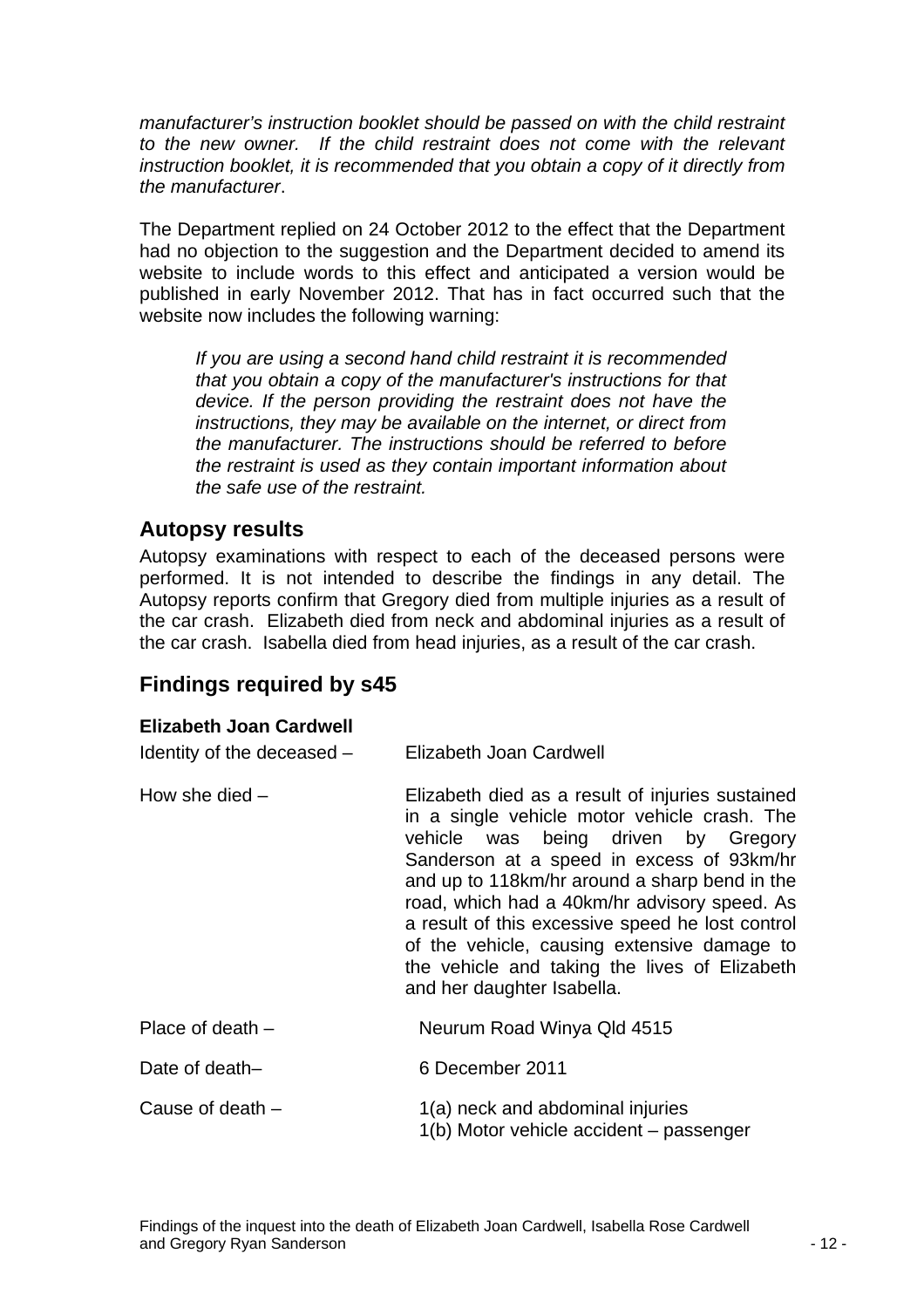<span id="page-12-0"></span>*manufacturer's instruction booklet should be passed on with the child restraint*  to the new owner. If the child restraint does not come with the relevant *instruction booklet, it is recommended that you obtain a copy of it directly from the manufacturer*.

The Department replied on 24 October 2012 to the effect that the Department had no objection to the suggestion and the Department decided to amend its website to include words to this effect and anticipated a version would be published in early November 2012. That has in fact occurred such that the website now includes the following warning:

*If you are using a second hand child restraint it is recommended that you obtain a copy of the manufacturer's instructions for that device. If the person providing the restraint does not have the instructions, they may be available on the internet, or direct from the manufacturer. The instructions should be referred to before the restraint is used as they contain important information about the safe use of the restraint.* 

### **Autopsy results**

Autopsy examinations with respect to each of the deceased persons were performed. It is not intended to describe the findings in any detail. The Autopsy reports confirm that Gregory died from multiple injuries as a result of the car crash. Elizabeth died from neck and abdominal injuries as a result of the car crash. Isabella died from head injuries, as a result of the car crash.

## **Findings required by s45**

#### **Elizabeth Joan Cardwell**

| Identity of the deceased - | Elizabeth Joan Cardwell                                                                                                                                                                                                                                                                                                                                                                                                                                                 |
|----------------------------|-------------------------------------------------------------------------------------------------------------------------------------------------------------------------------------------------------------------------------------------------------------------------------------------------------------------------------------------------------------------------------------------------------------------------------------------------------------------------|
| How she died $-$           | Elizabeth died as a result of injuries sustained<br>in a single vehicle motor vehicle crash. The<br>vehicle was being driven by Gregory<br>Sanderson at a speed in excess of 93km/hr<br>and up to 118km/hr around a sharp bend in the<br>road, which had a 40km/hr advisory speed. As<br>a result of this excessive speed he lost control<br>of the vehicle, causing extensive damage to<br>the vehicle and taking the lives of Elizabeth<br>and her daughter Isabella. |
| Place of death $-$         | Neurum Road Winya Qld 4515                                                                                                                                                                                                                                                                                                                                                                                                                                              |
| Date of death-             | 6 December 2011                                                                                                                                                                                                                                                                                                                                                                                                                                                         |
| Cause of death $-$         | 1(a) neck and abdominal injuries<br>1(b) Motor vehicle accident - passenger                                                                                                                                                                                                                                                                                                                                                                                             |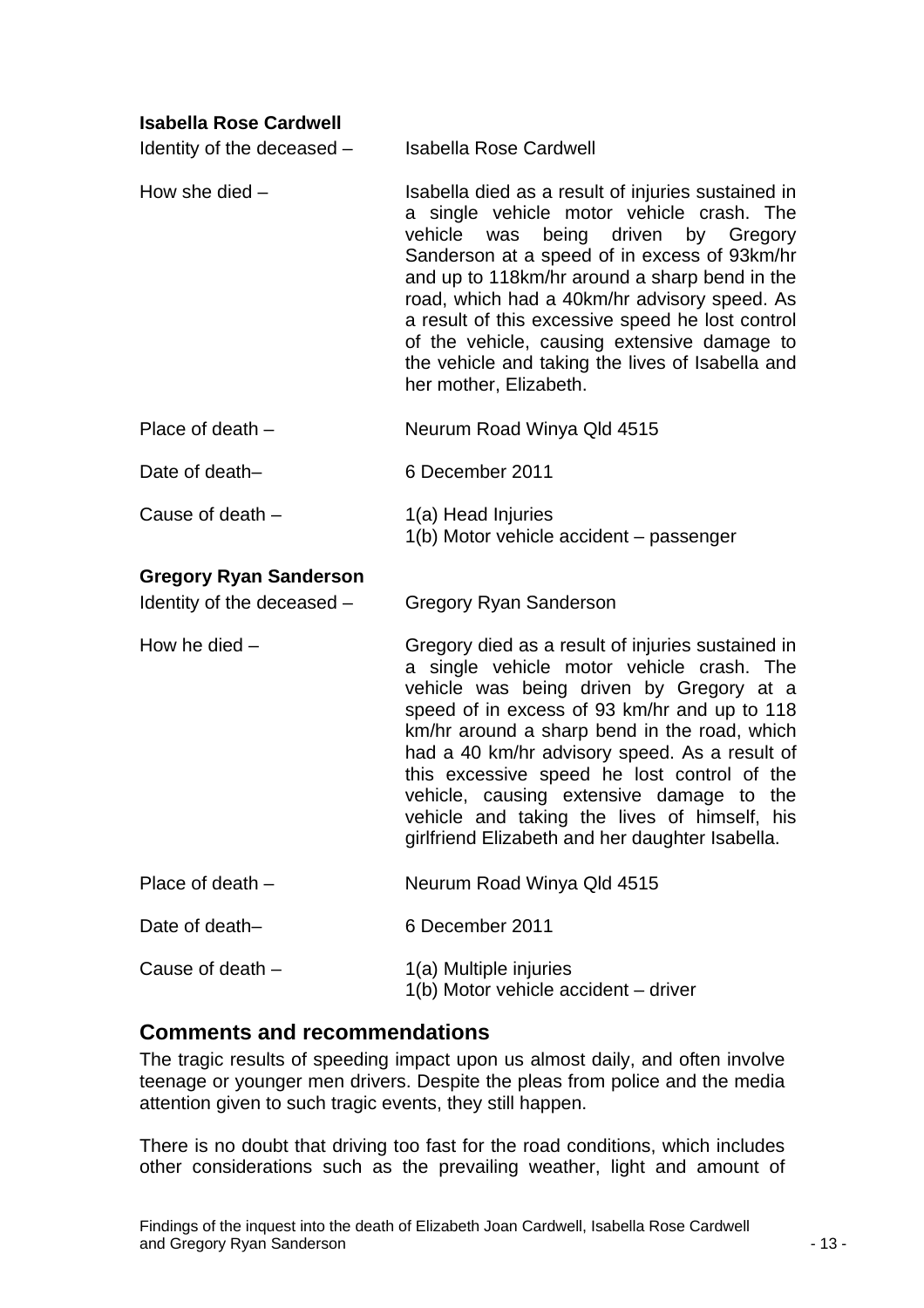#### <span id="page-13-0"></span>**Isabella Rose Cardwell**

| Identity of the deceased -    | <b>Isabella Rose Cardwell</b>                                                                                                                                                                                                                                                                                                                                                                                                                                                             |
|-------------------------------|-------------------------------------------------------------------------------------------------------------------------------------------------------------------------------------------------------------------------------------------------------------------------------------------------------------------------------------------------------------------------------------------------------------------------------------------------------------------------------------------|
| How she died $-$              | Isabella died as a result of injuries sustained in<br>a single vehicle motor vehicle crash. The<br>being driven<br>vehicle was<br>by Gregory<br>Sanderson at a speed of in excess of 93km/hr<br>and up to 118km/hr around a sharp bend in the<br>road, which had a 40km/hr advisory speed. As<br>a result of this excessive speed he lost control<br>of the vehicle, causing extensive damage to<br>the vehicle and taking the lives of Isabella and<br>her mother, Elizabeth.            |
| Place of death $-$            | Neurum Road Winya Qld 4515                                                                                                                                                                                                                                                                                                                                                                                                                                                                |
| Date of death-                | 6 December 2011                                                                                                                                                                                                                                                                                                                                                                                                                                                                           |
| Cause of death -              | 1(a) Head Injuries<br>1(b) Motor vehicle accident - passenger                                                                                                                                                                                                                                                                                                                                                                                                                             |
| <b>Gregory Ryan Sanderson</b> |                                                                                                                                                                                                                                                                                                                                                                                                                                                                                           |
| Identity of the deceased -    | <b>Gregory Ryan Sanderson</b>                                                                                                                                                                                                                                                                                                                                                                                                                                                             |
| How he died $-$               | Gregory died as a result of injuries sustained in<br>a single vehicle motor vehicle crash. The<br>vehicle was being driven by Gregory at a<br>speed of in excess of 93 km/hr and up to 118<br>km/hr around a sharp bend in the road, which<br>had a 40 km/hr advisory speed. As a result of<br>this excessive speed he lost control of the<br>vehicle, causing extensive damage to the<br>vehicle and taking the lives of himself, his<br>girlfriend Elizabeth and her daughter Isabella. |
| Place of death $-$            | Neurum Road Winya Qld 4515                                                                                                                                                                                                                                                                                                                                                                                                                                                                |
| Date of death-                | 6 December 2011                                                                                                                                                                                                                                                                                                                                                                                                                                                                           |
| Cause of death -              | 1(a) Multiple injuries<br>1(b) Motor vehicle accident - driver                                                                                                                                                                                                                                                                                                                                                                                                                            |

#### **Comments and recommendations**

The tragic results of speeding impact upon us almost daily, and often involve teenage or younger men drivers. Despite the pleas from police and the media attention given to such tragic events, they still happen.

There is no doubt that driving too fast for the road conditions, which includes other considerations such as the prevailing weather, light and amount of